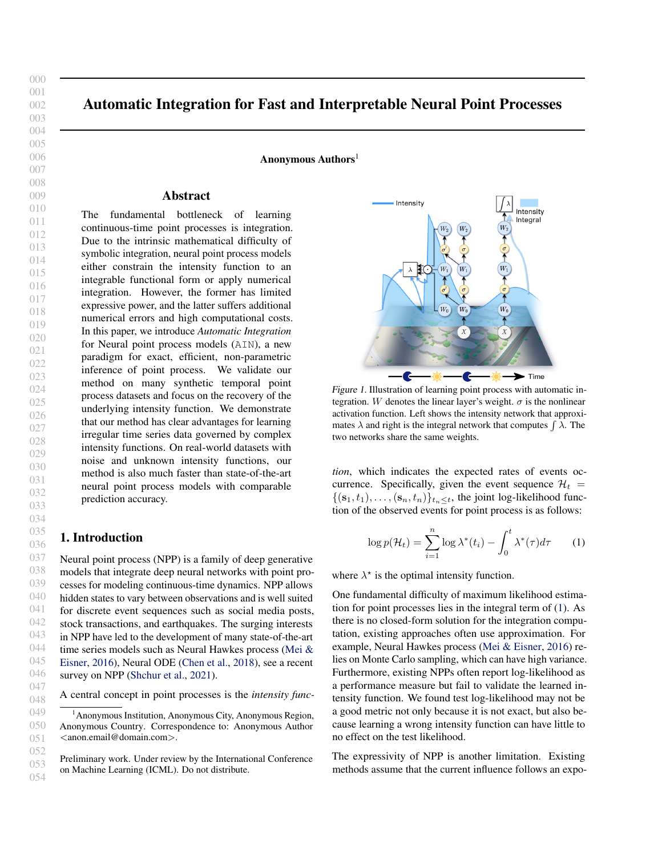053 054

000  $001$ 002

# Automatic Integration for Fast and Interpretable Neural Point Processes

Anonymous Authors<sup>1</sup>

# Abstract

The fundamental bottleneck of learning continuous-time point processes is integration. Due to the intrinsic mathematical difficulty of symbolic integration, neural point process models either constrain the intensity function to an integrable functional form or apply numerical integration. However, the former has limited expressive power, and the latter suffers additional numerical errors and high computational costs. In this paper, we introduce *Automatic Integration* for Neural point process models (AIN), a new paradigm for exact, efficient, non-parametric inference of point process. We validate our method on many synthetic temporal point process datasets and focus on the recovery of the underlying intensity function. We demonstrate that our method has clear advantages for learning irregular time series data governed by complex intensity functions. On real-world datasets with noise and unknown intensity functions, our method is also much faster than state-of-the-art neural point process models with comparable prediction accuracy.

# <span id="page-0-2"></span>1. Introduction

Neural point process (NPP) is a family of deep generative models that integrate deep neural networks with point processes for modeling continuous-time dynamics. NPP allows hidden states to vary between observations and is well suited for discrete event sequences such as social media posts, stock transactions, and earthquakes. The surging interests in NPP have led to the development of many state-of-the-art time series models such as Neural Hawkes process [\(Mei &](#page-8-0) [Eisner,](#page-8-0) [2016\)](#page-8-0), Neural ODE [\(Chen et al.,](#page-8-1) [2018\)](#page-8-1), see a recent survey on NPP [\(Shchur et al.,](#page-9-0) [2021\)](#page-9-0).

A central concept in point processes is the *intensity func-*

<span id="page-0-1"></span>

Figure 1. Illustration of learning point process with automatic integration. W denotes the linear layer's weight.  $\sigma$  is the nonlinear activation function. Left shows the intensity network that approximates  $\lambda$  and right is the integral network that computes  $\int \lambda$ . The two networks share the same weights.

*tion*, which indicates the expected rates of events occurrence. Specifically, given the event sequence  $\mathcal{H}_t$  =  $\{(\mathbf{s}_1, t_1), \ldots, (\mathbf{s}_n, t_n)\}_{t_n \leq t}$ , the joint log-likelihood function of the observed events for point process is as follows:

<span id="page-0-0"></span>
$$
\log p(\mathcal{H}_t) = \sum_{i=1}^n \log \lambda^*(t_i) - \int_0^t \lambda^*(\tau) d\tau \qquad (1)
$$

where  $\lambda^*$  is the optimal intensity function.

One fundamental difficulty of maximum likelihood estimation for point processes lies in the integral term of [\(1\)](#page-0-0). As there is no closed-form solution for the integration computation, existing approaches often use approximation. For example, Neural Hawkes process [\(Mei & Eisner,](#page-8-0) [2016\)](#page-8-0) relies on Monte Carlo sampling, which can have high variance. Furthermore, existing NPPs often report log-likelihood as a performance measure but fail to validate the learned intensity function. We found test log-likelihood may not be a good metric not only because it is not exact, but also because learning a wrong intensity function can have little to no effect on the test likelihood.

The expressivity of NPP is another limitation. Existing methods assume that the current influence follows an expo-

<sup>&</sup>lt;sup>1</sup> Anonymous Institution, Anonymous City, Anonymous Region, Anonymous Country. Correspondence to: Anonymous Author <anon.email@domain.com>.

Preliminary work. Under review by the International Conference on Machine Learning (ICML). Do not distribute.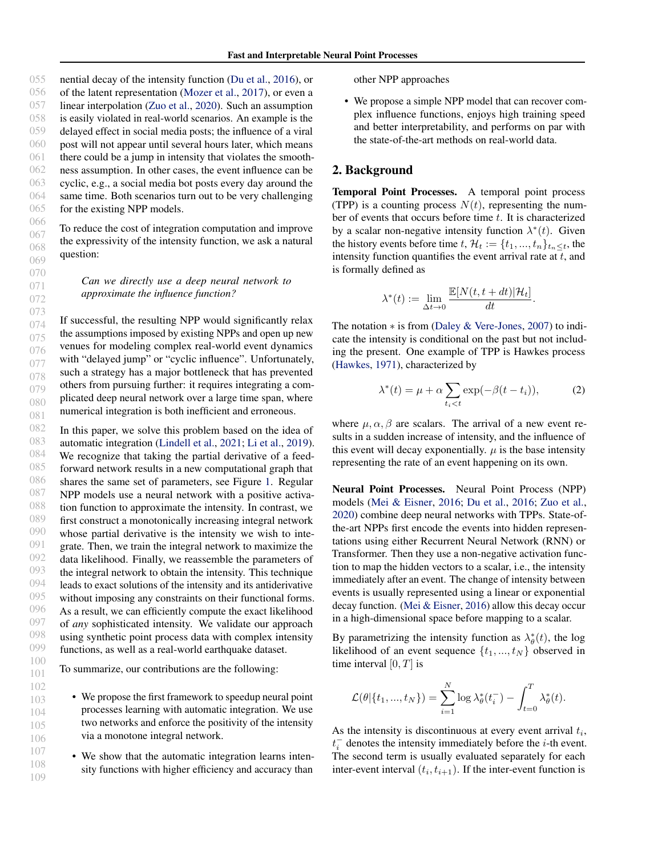055 056 057 058 059 060 061 062 063 064 065 066 nential decay of the intensity function [\(Du et al.,](#page-8-2) [2016\)](#page-8-2), or of the latent representation [\(Mozer et al.,](#page-8-3) [2017\)](#page-8-3), or even a linear interpolation [\(Zuo et al.,](#page-9-1) [2020\)](#page-9-1). Such an assumption is easily violated in real-world scenarios. An example is the delayed effect in social media posts; the influence of a viral post will not appear until several hours later, which means there could be a jump in intensity that violates the smoothness assumption. In other cases, the event influence can be cyclic, e.g., a social media bot posts every day around the same time. Both scenarios turn out to be very challenging for the existing NPP models.

To reduce the cost of integration computation and improve the expressivity of the intensity function, we ask a natural question:

*Can we directly use a deep neural network to approximate the influence function?*

074 075 076 077 078 079 080 081 If successful, the resulting NPP would significantly relax the assumptions imposed by existing NPPs and open up new venues for modeling complex real-world event dynamics with "delayed jump" or "cyclic influence". Unfortunately, such a strategy has a major bottleneck that has prevented others from pursuing further: it requires integrating a complicated deep neural network over a large time span, where numerical integration is both inefficient and erroneous.

082 083 084 085 086 087 088 089 090 091 092 093 094 095 096 097 098 099 In this paper, we solve this problem based on the idea of automatic integration [\(Lindell et al.,](#page-8-4) [2021;](#page-8-4) [Li et al.,](#page-8-5) [2019\)](#page-8-5). We recognize that taking the partial derivative of a feedforward network results in a new computational graph that shares the same set of parameters, see Figure [1.](#page-0-1) Regular NPP models use a neural network with a positive activation function to approximate the intensity. In contrast, we first construct a monotonically increasing integral network whose partial derivative is the intensity we wish to integrate. Then, we train the integral network to maximize the data likelihood. Finally, we reassemble the parameters of the integral network to obtain the intensity. This technique leads to exact solutions of the intensity and its antiderivative without imposing any constraints on their functional forms. As a result, we can efficiently compute the exact likelihood of *any* sophisticated intensity. We validate our approach using synthetic point process data with complex intensity functions, as well as a real-world earthquake dataset.

100 To summarize, our contributions are the following:

> • We propose the first framework to speedup neural point processes learning with automatic integration. We use two networks and enforce the positivity of the intensity via a monotone integral network.

• We show that the automatic integration learns intensity functions with higher efficiency and accuracy than

other NPP approaches

• We propose a simple NPP model that can recover complex influence functions, enjoys high training speed and better interpretability, and performs on par with the state-of-the-art methods on real-world data.

## 2. Background

Temporal Point Processes. A temporal point process (TPP) is a counting process  $N(t)$ , representing the number of events that occurs before time  $t$ . It is characterized by a scalar non-negative intensity function  $\lambda^*(t)$ . Given the history events before time  $t, \mathcal{H}_t := \{t_1, ..., t_n\}_{t_n \leq t}$ , the intensity function quantifies the event arrival rate at  $t$ , and is formally defined as

$$
\lambda^*(t) := \lim_{\Delta t \to 0} \frac{\mathbb{E}[N(t, t+dt)|\mathcal{H}_t]}{dt}.
$$

The notation ∗ is from [\(Daley & Vere-Jones,](#page-8-6) [2007\)](#page-8-6) to indicate the intensity is conditional on the past but not including the present. One example of TPP is Hawkes process [\(Hawkes,](#page-8-7) [1971\)](#page-8-7), characterized by

<span id="page-1-0"></span>
$$
\lambda^*(t) = \mu + \alpha \sum_{t_i < t} \exp(-\beta(t - t_i)),\tag{2}
$$

where  $\mu$ ,  $\alpha$ ,  $\beta$  are scalars. The arrival of a new event results in a sudden increase of intensity, and the influence of this event will decay exponentially.  $\mu$  is the base intensity representing the rate of an event happening on its own.

Neural Point Processes. Neural Point Process (NPP) models [\(Mei & Eisner,](#page-8-0) [2016;](#page-8-0) [Du et al.,](#page-8-2) [2016;](#page-8-2) [Zuo et al.,](#page-9-1) [2020\)](#page-9-1) combine deep neural networks with TPPs. State-ofthe-art NPPs first encode the events into hidden representations using either Recurrent Neural Network (RNN) or Transformer. Then they use a non-negative activation function to map the hidden vectors to a scalar, i.e., the intensity immediately after an event. The change of intensity between events is usually represented using a linear or exponential decay function. [\(Mei & Eisner,](#page-8-0) [2016\)](#page-8-0) allow this decay occur in a high-dimensional space before mapping to a scalar.

By parametrizing the intensity function as  $\lambda^*_{\theta}(t)$ , the log likelihood of an event sequence  $\{t_1, ..., t_N\}$  observed in time interval  $[0, T]$  is

$$
\mathcal{L}(\theta \vert \lbrace t_{1},...,t_{N} \rbrace) = \sum_{i=1}^{N} \log \lambda_{\theta}^{*}(t_{i}^{-}) - \int_{t=0}^{T} \lambda_{\theta}^{*}(t).
$$

As the intensity is discontinuous at every event arrival  $t_i$ ,  $t_i^-$  denotes the intensity immediately before the *i*-th event. The second term is usually evaluated separately for each inter-event interval  $(t_i, t_{i+1})$ . If the inter-event function is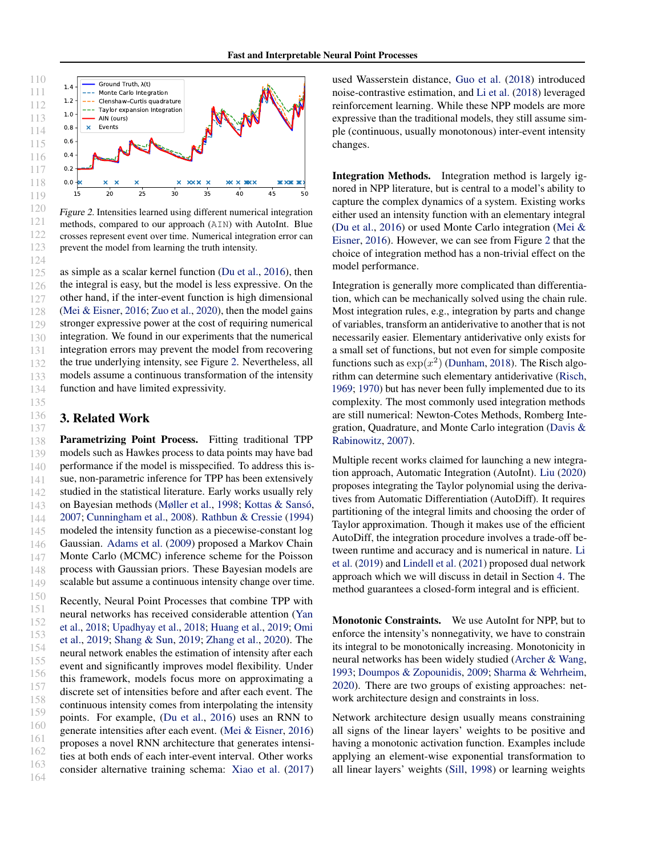<span id="page-2-0"></span>

Figure 2. Intensities learned using different numerical integration methods, compared to our approach (AIN) with AutoInt. Blue crosses represent event over time. Numerical integration error can prevent the model from learning the truth intensity.

125 126 127 128 129 130 131 132 133 134 as simple as a scalar kernel function [\(Du et al.,](#page-8-2) [2016\)](#page-8-2), then the integral is easy, but the model is less expressive. On the other hand, if the inter-event function is high dimensional [\(Mei & Eisner,](#page-8-0) [2016;](#page-8-0) [Zuo et al.,](#page-9-1) [2020\)](#page-9-1), then the model gains stronger expressive power at the cost of requiring numerical integration. We found in our experiments that the numerical integration errors may prevent the model from recovering the true underlying intensity, see Figure [2.](#page-2-0) Nevertheless, all models assume a continuous transformation of the intensity function and have limited expressivity.

## 3. Related Work

135 136 137

138 139 140 141 142 143 144 145 146 147 148 149 Parametrizing Point Process. Fitting traditional TPP models such as Hawkes process to data points may have bad performance if the model is misspecified. To address this issue, non-parametric inference for TPP has been extensively studied in the statistical literature. Early works usually rely on Bayesian methods [\(Møller et al.,](#page-8-8) [1998;](#page-8-8) Kottas & Sansó, [2007;](#page-8-9) [Cunningham et al.,](#page-8-10) [2008\)](#page-8-10). [Rathbun & Cressie](#page-8-11) [\(1994\)](#page-8-11) modeled the intensity function as a piecewise-constant log Gaussian. [Adams et al.](#page-8-12) [\(2009\)](#page-8-12) proposed a Markov Chain Monte Carlo (MCMC) inference scheme for the Poisson process with Gaussian priors. These Bayesian models are scalable but assume a continuous intensity change over time.

150 151 152 153 154 155 156 157 158 159 160 161 162 163 164 Recently, Neural Point Processes that combine TPP with neural networks has received considerable attention [\(Yan](#page-9-2) [et al.,](#page-9-2) [2018;](#page-9-2) [Upadhyay et al.,](#page-9-3) [2018;](#page-9-3) [Huang et al.,](#page-8-13) [2019;](#page-8-13) [Omi](#page-8-14) [et al.,](#page-8-14) [2019;](#page-8-14) [Shang & Sun,](#page-9-4) [2019;](#page-9-4) [Zhang et al.,](#page-9-5) [2020\)](#page-9-5). The neural network enables the estimation of intensity after each event and significantly improves model flexibility. Under this framework, models focus more on approximating a discrete set of intensities before and after each event. The continuous intensity comes from interpolating the intensity points. For example, [\(Du et al.,](#page-8-2) [2016\)](#page-8-2) uses an RNN to generate intensities after each event. [\(Mei & Eisner,](#page-8-0) [2016\)](#page-8-0) proposes a novel RNN architecture that generates intensities at both ends of each inter-event interval. Other works consider alternative training schema: [Xiao et al.](#page-9-6) [\(2017\)](#page-9-6) used Wasserstein distance, [Guo et al.](#page-8-15) [\(2018\)](#page-8-15) introduced noise-contrastive estimation, and [Li et al.](#page-8-16) [\(2018\)](#page-8-16) leveraged reinforcement learning. While these NPP models are more expressive than the traditional models, they still assume simple (continuous, usually monotonous) inter-event intensity changes.

Integration Methods. Integration method is largely ignored in NPP literature, but is central to a model's ability to capture the complex dynamics of a system. Existing works either used an intensity function with an elementary integral [\(Du et al.,](#page-8-2) [2016\)](#page-8-2) or used Monte Carlo integration [\(Mei &](#page-8-0) [Eisner,](#page-8-0) [2016\)](#page-8-0). However, we can see from Figure [2](#page-2-0) that the choice of integration method has a non-trivial effect on the model performance.

Integration is generally more complicated than differentiation, which can be mechanically solved using the chain rule. Most integration rules, e.g., integration by parts and change of variables, transform an antiderivative to another that is not necessarily easier. Elementary antiderivative only exists for a small set of functions, but not even for simple composite functions such as  $\exp(x^2)$  [\(Dunham,](#page-8-17) [2018\)](#page-8-17). The Risch algorithm can determine such elementary antiderivative [\(Risch,](#page-8-18) [1969;](#page-8-18) [1970\)](#page-9-7) but has never been fully implemented due to its complexity. The most commonly used integration methods are still numerical: Newton-Cotes Methods, Romberg Integration, Quadrature, and Monte Carlo integration [\(Davis &](#page-8-19) [Rabinowitz,](#page-8-19) [2007\)](#page-8-19).

Multiple recent works claimed for launching a new integration approach, Automatic Integration (AutoInt). [Liu](#page-8-20) [\(2020\)](#page-8-20) proposes integrating the Taylor polynomial using the derivatives from Automatic Differentiation (AutoDiff). It requires partitioning of the integral limits and choosing the order of Taylor approximation. Though it makes use of the efficient AutoDiff, the integration procedure involves a trade-off between runtime and accuracy and is numerical in nature. [Li](#page-8-5) [et al.](#page-8-5) [\(2019\)](#page-8-5) and [Lindell et al.](#page-8-4) [\(2021\)](#page-8-4) proposed dual network approach which we will discuss in detail in Section [4.](#page-3-0) The method guarantees a closed-form integral and is efficient.

Monotonic Constraints. We use AutoInt for NPP, but to enforce the intensity's nonnegativity, we have to constrain its integral to be monotonically increasing. Monotonicity in neural networks has been widely studied [\(Archer & Wang,](#page-8-21) [1993;](#page-8-21) [Doumpos & Zopounidis,](#page-8-22) [2009;](#page-8-22) [Sharma & Wehrheim,](#page-9-8) [2020\)](#page-9-8). There are two groups of existing approaches: network architecture design and constraints in loss.

Network architecture design usually means constraining all signs of the linear layers' weights to be positive and having a monotonic activation function. Examples include applying an element-wise exponential transformation to all linear layers' weights [\(Sill,](#page-9-9) [1998\)](#page-9-9) or learning weights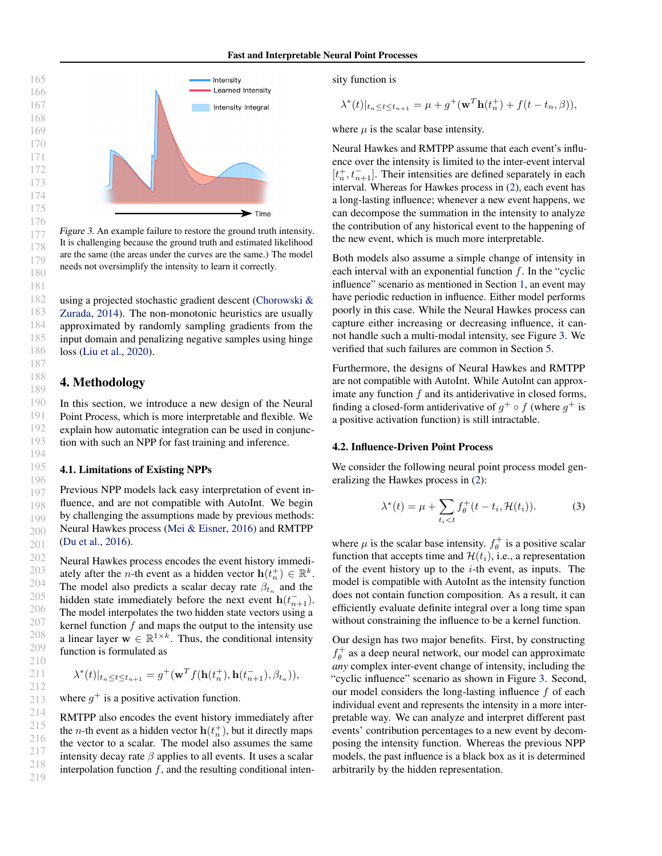<span id="page-3-1"></span>

Figure 3. An example failure to restore the ground truth intensity. It is challenging because the ground truth and estimated likelihood are the same (the areas under the curves are the same.) The model needs not oversimplify the intensity to learn it correctly.

using a projected stochastic gradient descent [\(Chorowski &](#page-8-23) [Zurada,](#page-8-23) [2014\)](#page-8-23). The non-monotonic heuristics are usually approximated by randomly sampling gradients from the input domain and penalizing negative samples using hinge loss [\(Liu et al.,](#page-8-24) [2020\)](#page-8-24).

# <span id="page-3-0"></span>4. Methodology

In this section, we introduce a new design of the Neural Point Process, which is more interpretable and flexible. We explain how automatic integration can be used in conjunction with such an NPP for fast training and inference.

#### 4.1. Limitations of Existing NPPs

197 198 199 200 201 Previous NPP models lack easy interpretation of event influence, and are not compatible with AutoInt. We begin by challenging the assumptions made by previous methods: Neural Hawkes process [\(Mei & Eisner,](#page-8-0) [2016\)](#page-8-0) and RMTPP [\(Du et al.,](#page-8-2) [2016\)](#page-8-2).

202 203 204 205 206 207 208 209 210 Neural Hawkes process encodes the event history immediately after the *n*-th event as a hidden vector  $\mathbf{h}(t_n^+) \in \mathbb{R}^k$ . The model also predicts a scalar decay rate  $\beta_{t_n}$  and the hidden state immediately before the next event  $h(t_{n+1}^-)$ . The model interpolates the two hidden state vectors using a kernel function  $f$  and maps the output to the intensity use a linear layer  $\mathbf{w} \in \mathbb{R}^{1 \times k}$ . Thus, the conditional intensity function is formulated as

$$
\lambda^*(t)|_{t_n \le t \le t_{n+1}} = g^+(\mathbf{w}^T f(\mathbf{h}(t_n^+), \mathbf{h}(t_{n+1}^-), \beta_{t_n})),
$$

where  $g^+$  is a positive activation function.

RMTPP also encodes the event history immediately after the *n*-th event as a hidden vector  $h(t_n^+)$ , but it directly maps the vector to a scalar. The model also assumes the same intensity decay rate  $\beta$  applies to all events. It uses a scalar interpolation function  $f$ , and the resulting conditional intensity function is

$$
\lambda^*(t)|_{t_n \le t \le t_{n+1}} = \mu + g^+(\mathbf{w}^T \mathbf{h}(t_n^+) + f(t - t_n, \beta)),
$$

where  $\mu$  is the scalar base intensity.

Neural Hawkes and RMTPP assume that each event's influence over the intensity is limited to the inter-event interval  $[t_n^+, t_{n+1}^-].$  Their intensities are defined separately in each interval. Whereas for Hawkes process in [\(2\)](#page-1-0), each event has a long-lasting influence; whenever a new event happens, we can decompose the summation in the intensity to analyze the contribution of any historical event to the happening of the new event, which is much more interpretable.

Both models also assume a simple change of intensity in each interval with an exponential function  $f$ . In the "cyclic influence" scenario as mentioned in Section [1,](#page-0-2) an event may have periodic reduction in influence. Either model performs poorly in this case. While the Neural Hawkes process can capture either increasing or decreasing influence, it cannot handle such a multi-modal intensity, see Figure [3.](#page-3-1) We verified that such failures are common in Section [5.](#page-5-0)

Furthermore, the designs of Neural Hawkes and RMTPP are not compatible with AutoInt. While AutoInt can approximate any function  $f$  and its antiderivative in closed forms, finding a closed-form antiderivative of  $g^+ \circ f$  (where  $g^+$  is a positive activation function) is still intractable.

#### 4.2. Influence-Driven Point Process

We consider the following neural point process model generalizing the Hawkes process in [\(2\)](#page-1-0):

$$
\lambda^*(t) = \mu + \sum_{t_i < t} f_\theta^+(t - t_i, \mathcal{H}(t_i)).\tag{3}
$$

where  $\mu$  is the scalar base intensity.  $f_{\theta}^{+}$  is a positive scalar function that accepts time and  $\mathcal{H}(t_i)$ , i.e., a representation of the event history up to the  $i$ -th event, as inputs. The model is compatible with AutoInt as the intensity function does not contain function composition. As a result, it can efficiently evaluate definite integral over a long time span without constraining the influence to be a kernel function.

Our design has two major benefits. First, by constructing  $f_{\theta}^{+}$  as a deep neural network, our model can approximate *any* complex inter-event change of intensity, including the "cyclic influence" scenario as shown in Figure [3.](#page-3-1) Second, our model considers the long-lasting influence f of each individual event and represents the intensity in a more interpretable way. We can analyze and interpret different past events' contribution percentages to a new event by decomposing the intensity function. Whereas the previous NPP models, the past influence is a black box as it is determined arbitrarily by the hidden representation.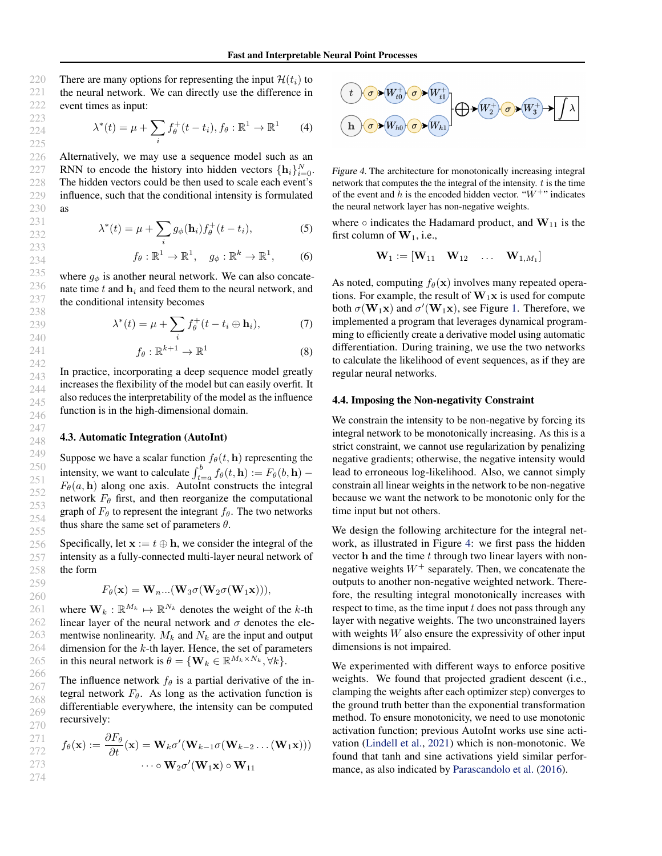There are many options for representing the input  $\mathcal{H}(t_i)$  to the neural network. We can directly use the difference in event times as input:

$$
\lambda^*(t) = \mu + \sum_i f_{\theta}^+(t - t_i), f_{\theta} : \mathbb{R}^1 \to \mathbb{R}^1 \tag{4}
$$

Alternatively, we may use a sequence model such as an RNN to encode the history into hidden vectors  $\{\mathbf h_i\}_{i=0}^N$ . The hidden vectors could be then used to scale each event's influence, such that the conditional intensity is formulated as

$$
\lambda^*(t) = \mu + \sum_i g_{\phi}(\mathbf{h}_i) f_{\theta}^+(t - t_i), \tag{5}
$$

$$
f_{\theta} : \mathbb{R}^1 \to \mathbb{R}^1
$$
,  $g_{\phi} : \mathbb{R}^k \to \mathbb{R}^1$ , (6)

where  $g_{\phi}$  is another neural network. We can also concatenate time  $t$  and  $\mathbf{h}_i$  and feed them to the neural network, and the conditional intensity becomes

$$
\lambda^*(t) = \mu + \sum_i f_{\theta}^+(t - t_i \oplus \mathbf{h}_i),\tag{7}
$$

$$
f_{\theta} : \mathbb{R}^{k+1} \to \mathbb{R}^1 \tag{8}
$$

In practice, incorporating a deep sequence model greatly increases the flexibility of the model but can easily overfit. It also reduces the interpretability of the model as the influence function is in the high-dimensional domain.

#### 4.3. Automatic Integration (AutoInt)

Suppose we have a scalar function  $f_{\theta}(t, \mathbf{h})$  representing the intensity, we want to calculate  $\int_{t=a}^{b} f_{\theta}(t, \mathbf{h}) := F_{\theta}(b, \mathbf{h})$  –  $F_{\theta}(a, h)$  along one axis. AutoInt constructs the integral network  $F_{\theta}$  first, and then reorganize the computational graph of  $F_{\theta}$  to represent the integrant  $f_{\theta}$ . The two networks thus share the same set of parameters  $\theta$ .

Specifically, let  $\mathbf{x} := t \oplus \mathbf{h}$ , we consider the integral of the intensity as a fully-connected multi-layer neural network of the form

$$
F_{\theta}(\mathbf{x}) = \mathbf{W}_{n} \dots (\mathbf{W}_{3} \sigma(\mathbf{W}_{2} \sigma(\mathbf{W}_{1} \mathbf{x}))),
$$

where  $\mathbf{W}_k : \mathbb{R}^{M_k} \mapsto \mathbb{R}^{N_k}$  denotes the weight of the k-th linear layer of the neural network and  $\sigma$  denotes the elementwise nonlinearity.  $M_k$  and  $N_k$  are the input and output dimension for the  $k$ -th layer. Hence, the set of parameters in this neural network is  $\theta = \{ \mathbf{W}_k \in \mathbb{R}^{M_k \times N_k}, \forall k \}.$ 

The influence network  $f_{\theta}$  is a partial derivative of the integral network  $F_{\theta}$ . As long as the activation function is differentiable everywhere, the intensity can be computed recursively:

$$
271\n272\n273\n56(\mathbf{x}) := \frac{\partial F_{\theta}}{\partial t}(\mathbf{x}) = \mathbf{W}_{k} \sigma'(\mathbf{W}_{k-1} \sigma(\mathbf{W}_{k-2} \dots (\mathbf{W}_{1} \mathbf{x})))
$$
\n
$$
\cdots \circ \mathbf{W}_{2} \sigma'(\mathbf{W}_{1} \mathbf{x}) \circ \mathbf{W}_{11}
$$

<span id="page-4-1"></span><span id="page-4-0"></span>

Figure 4. The architecture for monotonically increasing integral network that computes the the integral of the intensity.  $t$  is the time of the event and h is the encoded hidden vector. " $W^{+}$ " indicates the neural network layer has non-negative weights.

where  $\circ$  indicates the Hadamard product, and  $W_{11}$  is the first column of  $W_1$ , i.e.,

$$
\mathbf{W}_1 := \left[ \mathbf{W}_{11} \quad \mathbf{W}_{12} \quad \dots \quad \mathbf{W}_{1,M_1} \right]
$$

As noted, computing  $f_{\theta}(\mathbf{x})$  involves many repeated operations. For example, the result of  $W_1x$  is used for compute both  $\sigma(\mathbf{W}_1 \mathbf{x})$  and  $\sigma'(\mathbf{W}_1 \mathbf{x})$ , see Figure [1.](#page-0-1) Therefore, we implemented a program that leverages dynamical programming to efficiently create a derivative model using automatic differentiation. During training, we use the two networks to calculate the likelihood of event sequences, as if they are regular neural networks.

#### 4.4. Imposing the Non-negativity Constraint

We constrain the intensity to be non-negative by forcing its integral network to be monotonically increasing. As this is a strict constraint, we cannot use regularization by penalizing negative gradients; otherwise, the negative intensity would lead to erroneous log-likelihood. Also, we cannot simply constrain all linear weights in the network to be non-negative because we want the network to be monotonic only for the time input but not others.

We design the following architecture for the integral network, as illustrated in Figure [4:](#page-4-0) we first pass the hidden vector  $h$  and the time  $t$  through two linear layers with nonnegative weights  $W^+$  separately. Then, we concatenate the outputs to another non-negative weighted network. Therefore, the resulting integral monotonically increases with respect to time, as the time input  $t$  does not pass through any layer with negative weights. The two unconstrained layers with weights  $W$  also ensure the expressivity of other input dimensions is not impaired.

We experimented with different ways to enforce positive weights. We found that projected gradient descent (i.e., clamping the weights after each optimizer step) converges to the ground truth better than the exponential transformation method. To ensure monotonicity, we need to use monotonic activation function; previous AutoInt works use sine activation [\(Lindell et al.,](#page-8-4) [2021\)](#page-8-4) which is non-monotonic. We found that tanh and sine activations yield similar performance, as also indicated by [Parascandolo et al.](#page-8-25) [\(2016\)](#page-8-25).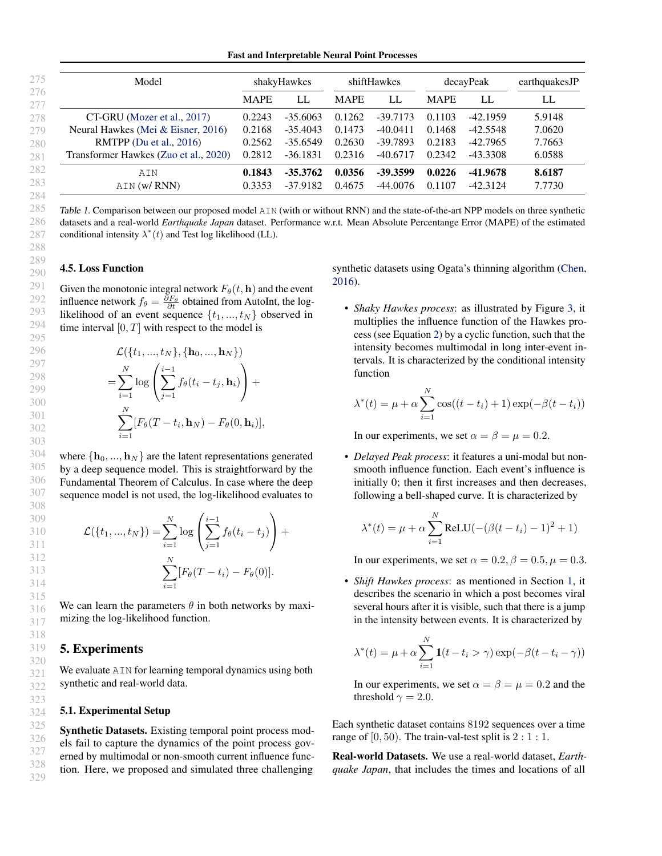Fast and Interpretable Neural Point Processes

<span id="page-5-1"></span>

| 275        | Model                                 | shakyHawkes |            | shiftHawkes |            | decayPeak   |            | earthquakesJP |
|------------|---------------------------------------|-------------|------------|-------------|------------|-------------|------------|---------------|
| 276<br>277 |                                       | <b>MAPE</b> | LL.        | <b>MAPE</b> | LL         | <b>MAPE</b> | LL         | LL            |
| 278        | CT-GRU (Mozer et al., 2017)           | 0.2243      | $-35.6063$ | 0.1262      | $-39.7173$ | 0.1103      | -42.1959   | 5.9148        |
| 279        | Neural Hawkes (Mei & Eisner, 2016)    | 0.2168      | $-35.4043$ | 0.1473      | $-40.0411$ | 0.1468      | $-42.5548$ | 7.0620        |
| 280        | RMTPP (Du et al., $2016$ )            | 0.2562      | $-35.6549$ | 0.2630      | $-39.7893$ | 0.2183      | -42.7965   | 7.7663        |
| 281        | Transformer Hawkes (Zuo et al., 2020) | 0.2812      | $-36.1831$ | 0.2316      | $-40.6717$ | 0.2342      | -43.3308   | 6.0588        |
| 282        | AIN                                   | 0.1843      | $-35.3762$ | 0.0356      | -39.3599   | 0.0226      | -41.9678   | 8.6187        |
| 283<br>001 | AIN (w/ RNN)                          | 0.3353      | $-37.9182$ | 0.4675      | $-44.0076$ | 0.1107      | $-42.3124$ | 7.7730        |

Table 1. Comparison between our proposed model AIN (with or without RNN) and the state-of-the-art NPP models on three synthetic datasets and a real-world *Earthquake Japan* dataset. Performance w.r.t. Mean Absolute Percentange Error (MAPE) of the estimated conditional intensity  $\lambda^*(t)$  and Test log likelihood (LL).

### 4.5. Loss Function

Given the monotonic integral network  $F_{\theta}(t, \mathbf{h})$  and the event influence network  $f_{\theta} = \frac{\partial F_{\theta}}{\partial t}$  obtained from AutoInt, the loglikelihood of an event sequence  $\{t_1, ..., t_N\}$  observed in time interval  $[0, T]$  with respect to the model is

$$
\mathcal{L}(\{t_1, ..., t_N\}, \{\mathbf{h}_0, ..., \mathbf{h}_N\})
$$
\n
$$
= \sum_{i=1}^N \log \left( \sum_{j=1}^{i-1} f_{\theta}(t_i - t_j, \mathbf{h}_i) \right) + \sum_{i=1}^N [F_{\theta}(T - t_i, \mathbf{h}_N) - F_{\theta}(0, \mathbf{h}_i)],
$$

where  $\{h_0, ..., h_N\}$  are the latent representations generated by a deep sequence model. This is straightforward by the Fundamental Theorem of Calculus. In case where the deep sequence model is not used, the log-likelihood evaluates to

$$
\mathcal{L}(\{t_1, ..., t_N\}) = \sum_{i=1}^{N} \log \left( \sum_{j=1}^{i-1} f_{\theta}(t_i - t_j) \right) + \sum_{i=1}^{N} [F_{\theta}(T - t_i) - F_{\theta}(0)].
$$

We can learn the parameters  $\theta$  in both networks by maximizing the log-likelihood function.

# <span id="page-5-0"></span>5. Experiments

We evaluate  $AIN$  for learning temporal dynamics using both synthetic and real-world data.

#### 5.1. Experimental Setup

Synthetic Datasets. Existing temporal point process models fail to capture the dynamics of the point process governed by multimodal or non-smooth current influence function. Here, we proposed and simulated three challenging

synthetic datasets using Ogata's thinning algorithm [\(Chen,](#page-8-26) [2016\)](#page-8-26).

• *Shaky Hawkes process*: as illustrated by Figure [3,](#page-3-1) it multiplies the influence function of the Hawkes process (see Equation [2\)](#page-1-0) by a cyclic function, such that the intensity becomes multimodal in long inter-event intervals. It is characterized by the conditional intensity function

$$
\lambda^*(t) = \mu + \alpha \sum_{i=1}^N \cos((t - t_i) + 1) \exp(-\beta(t - t_i))
$$

In our experiments, we set  $\alpha = \beta = \mu = 0.2$ .

• *Delayed Peak process*: it features a uni-modal but nonsmooth influence function. Each event's influence is initially 0; then it first increases and then decreases, following a bell-shaped curve. It is characterized by

$$
\lambda^*(t) = \mu + \alpha \sum_{i=1}^{N} \text{ReLU}(-(\beta(t - t_i) - 1)^2 + 1)
$$

In our experiments, we set  $\alpha = 0.2$ ,  $\beta = 0.5$ ,  $\mu = 0.3$ .

• *Shift Hawkes process*: as mentioned in Section [1,](#page-0-2) it describes the scenario in which a post becomes viral several hours after it is visible, such that there is a jump in the intensity between events. It is characterized by

$$
\lambda^*(t) = \mu + \alpha \sum_{i=1}^N \mathbf{1}(t - t_i > \gamma) \exp(-\beta(t - t_i - \gamma))
$$

In our experiments, we set  $\alpha = \beta = \mu = 0.2$  and the threshold  $\gamma = 2.0$ .

Each synthetic dataset contains 8192 sequences over a time range of  $[0, 50)$ . The train-val-test split is  $2:1:1$ .

Real-world Datasets. We use a real-world dataset, *Earthquake Japan*, that includes the times and locations of all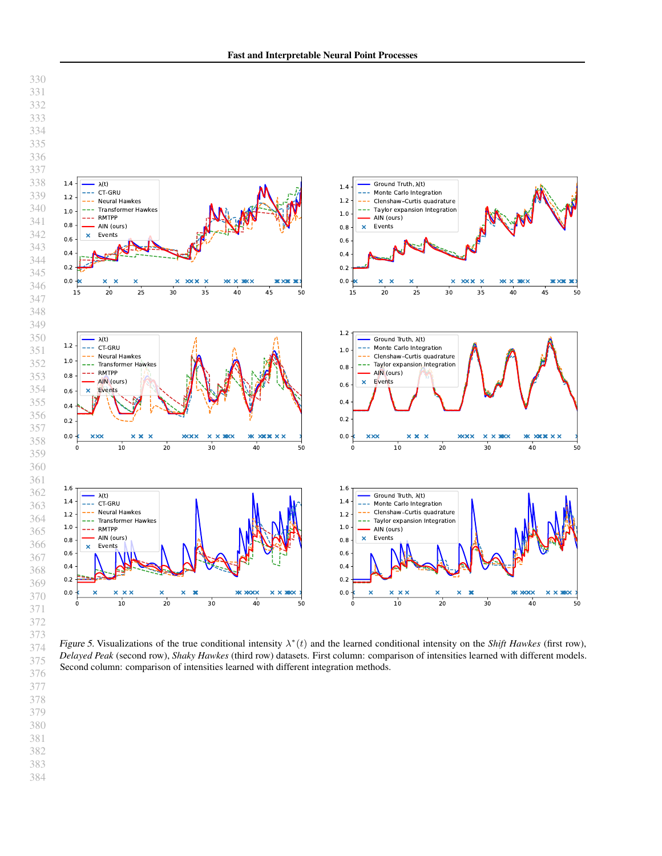<span id="page-6-0"></span>

Figure 5. Visualizations of the true conditional intensity  $\lambda^*(t)$  and the learned conditional intensity on the *Shift Hawkes* (first row), *Delayed Peak* (second row), *Shaky Hawkes* (third row) datasets. First column: comparison of intensities learned with different models. Second column: comparison of intensities learned with different integration methods.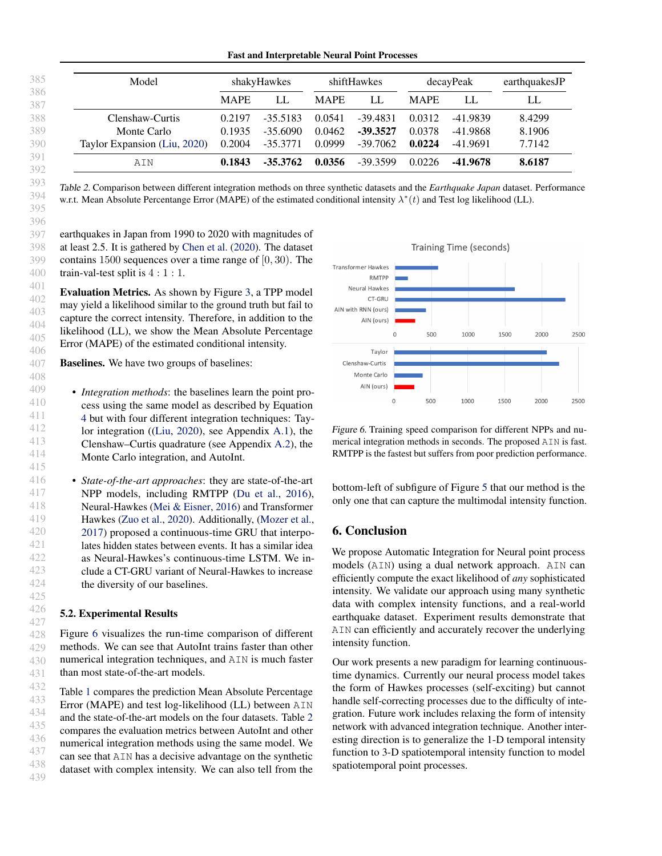<span id="page-7-1"></span>

| Model                        | shakyHawkes |            |             | shiftHawkes | decayPeak   |          | earthquakesJP |
|------------------------------|-------------|------------|-------------|-------------|-------------|----------|---------------|
|                              | <b>MAPE</b> | LL         | <b>MAPE</b> | LL          | <b>MAPE</b> | LL       | LL            |
| Clenshaw-Curtis              | 0.2197      | $-35.5183$ | 0.0541      | $-39.4831$  | 0.0312      | -41.9839 | 8.4299        |
| Monte Carlo                  | 0.1935      | $-35.6090$ | 0.0462      | $-39.3527$  | 0.0378      | -41.9868 | 8.1906        |
| Taylor Expansion (Liu, 2020) | 0.2004      | $-35.3771$ | 0.0999      | -39.7062    | 0.0224      | -41.9691 | 7.7142        |
| AIN                          | 0.1843      | $-35.3762$ | 0.0356      | $-39.3599$  | 0.0226      | -41.9678 | 8.6187        |

Table 2. Comparison between different integration methods on three synthetic datasets and the *Earthquake Japan* dataset. Performance w.r.t. Mean Absolute Percentange Error (MAPE) of the estimated conditional intensity  $\lambda^*(t)$  and Test log likelihood (LL).

earthquakes in Japan from 1990 to 2020 with magnitudes of at least 2.5. It is gathered by [Chen et al.](#page-8-27) [\(2020\)](#page-8-27). The dataset contains 1500 sequences over a time range of [0, 30). The train-val-test split is 4 : 1 : 1.

Evaluation Metrics. As shown by Figure [3,](#page-3-1) a TPP model may yield a likelihood similar to the ground truth but fail to capture the correct intensity. Therefore, in addition to the likelihood (LL), we show the Mean Absolute Percentage Error (MAPE) of the estimated conditional intensity.

**Baselines.** We have two groups of baselines:

• *Integration methods*: the baselines learn the point process using the same model as described by Equation [4](#page-4-1) but with four different integration techniques: Taylor integration ([\(Liu,](#page-8-20) [2020\)](#page-8-20), see Appendix [A.1\)](#page-10-0), the Clenshaw–Curtis quadrature (see Appendix [A.2\)](#page-10-1), the Monte Carlo integration, and AutoInt.

• *State-of-the-art approaches*: they are state-of-the-art NPP models, including RMTPP [\(Du et al.,](#page-8-2) [2016\)](#page-8-2), Neural-Hawkes [\(Mei & Eisner,](#page-8-0) [2016\)](#page-8-0) and Transformer Hawkes [\(Zuo et al.,](#page-9-1) [2020\)](#page-9-1). Additionally, [\(Mozer et al.,](#page-8-3) [2017\)](#page-8-3) proposed a continuous-time GRU that interpolates hidden states between events. It has a similar idea as Neural-Hawkes's continuous-time LSTM. We include a CT-GRU variant of Neural-Hawkes to increase the diversity of our baselines.

#### 5.2. Experimental Results

Figure [6](#page-7-0) visualizes the run-time comparison of different methods. We can see that AutoInt trains faster than other numerical integration techniques, and AIN is much faster than most state-of-the-art models.

432 433 434 435 436 437 438 439 Table [1](#page-5-1) compares the prediction Mean Absolute Percentage Error (MAPE) and test log-likelihood (LL) between AIN and the state-of-the-art models on the four datasets. Table [2](#page-7-1) compares the evaluation metrics between AutoInt and other numerical integration methods using the same model. We can see that AIN has a decisive advantage on the synthetic dataset with complex intensity. We can also tell from the

<span id="page-7-0"></span>

Figure 6. Training speed comparison for different NPPs and numerical integration methods in seconds. The proposed AIN is fast. RMTPP is the fastest but suffers from poor prediction performance.

bottom-left of subfigure of Figure [5](#page-6-0) that our method is the only one that can capture the multimodal intensity function.

## 6. Conclusion

We propose Automatic Integration for Neural point process models (AIN) using a dual network approach. AIN can efficiently compute the exact likelihood of *any* sophisticated intensity. We validate our approach using many synthetic data with complex intensity functions, and a real-world earthquake dataset. Experiment results demonstrate that AIN can efficiently and accurately recover the underlying intensity function.

Our work presents a new paradigm for learning continuoustime dynamics. Currently our neural process model takes the form of Hawkes processes (self-exciting) but cannot handle self-correcting processes due to the difficulty of integration. Future work includes relaxing the form of intensity network with advanced integration technique. Another interesting direction is to generalize the 1-D temporal intensity function to 3-D spatiotemporal intensity function to model spatiotemporal point processes.

430 431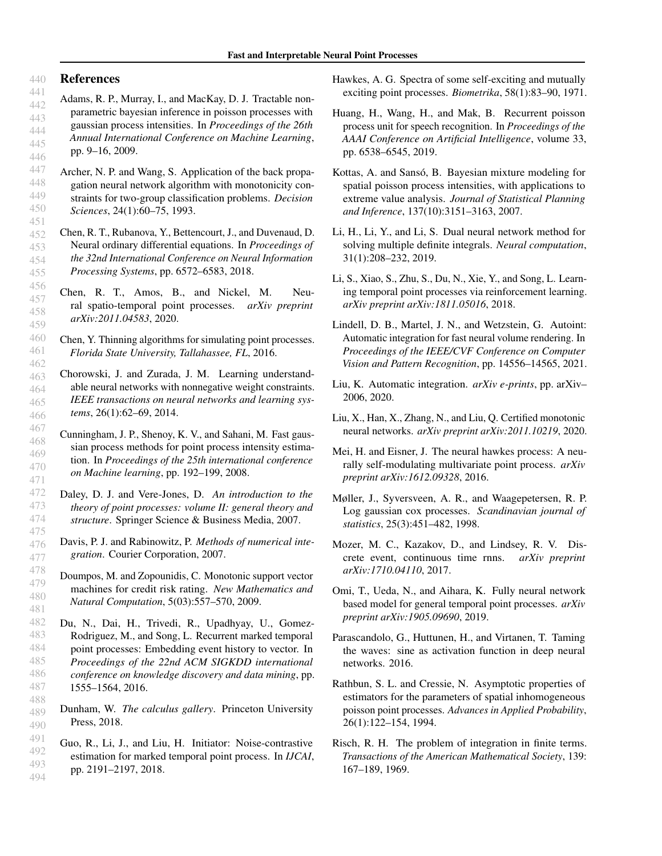#### 440 References

457

459

463 464 465

<span id="page-8-10"></span>467 468 469

471

- <span id="page-8-12"></span>441 442 443 444 445 446 Adams, R. P., Murray, I., and MacKay, D. J. Tractable nonparametric bayesian inference in poisson processes with gaussian process intensities. In *Proceedings of the 26th Annual International Conference on Machine Learning*, pp. 9–16, 2009.
- <span id="page-8-21"></span>447 448 449 450 451 Archer, N. P. and Wang, S. Application of the back propagation neural network algorithm with monotonicity constraints for two-group classification problems. *Decision Sciences*, 24(1):60–75, 1993.
- <span id="page-8-1"></span>452 453 454 455 Chen, R. T., Rubanova, Y., Bettencourt, J., and Duvenaud, D. Neural ordinary differential equations. In *Proceedings of the 32nd International Conference on Neural Information Processing Systems*, pp. 6572–6583, 2018.
- <span id="page-8-27"></span>456 458 Chen, R. T., Amos, B., and Nickel, M. Neural spatio-temporal point processes. *arXiv preprint arXiv:2011.04583*, 2020.
- <span id="page-8-26"></span>460 461 462 Chen, Y. Thinning algorithms for simulating point processes. *Florida State University, Tallahassee, FL*, 2016.
- <span id="page-8-23"></span>466 Chorowski, J. and Zurada, J. M. Learning understandable neural networks with nonnegative weight constraints. *IEEE transactions on neural networks and learning systems*, 26(1):62–69, 2014.
- 470 Cunningham, J. P., Shenoy, K. V., and Sahani, M. Fast gaussian process methods for point process intensity estimation. In *Proceedings of the 25th international conference on Machine learning*, pp. 192–199, 2008.
- <span id="page-8-19"></span><span id="page-8-6"></span>472 473 474 475 Daley, D. J. and Vere-Jones, D. *An introduction to the theory of point processes: volume II: general theory and structure*. Springer Science & Business Media, 2007.
	- Davis, P. J. and Rabinowitz, P. *Methods of numerical integration*. Courier Corporation, 2007.
	- Doumpos, M. and Zopounidis, C. Monotonic support vector machines for credit risk rating. *New Mathematics and Natural Computation*, 5(03):557–570, 2009.
- <span id="page-8-22"></span><span id="page-8-2"></span>482 483 484 485 486 487 488 Du, N., Dai, H., Trivedi, R., Upadhyay, U., Gomez-Rodriguez, M., and Song, L. Recurrent marked temporal point processes: Embedding event history to vector. In *Proceedings of the 22nd ACM SIGKDD international conference on knowledge discovery and data mining*, pp. 1555–1564, 2016.
- <span id="page-8-17"></span>489 490 Dunham, W. *The calculus gallery*. Princeton University Press, 2018.
- <span id="page-8-15"></span>491 492 493 494 Guo, R., Li, J., and Liu, H. Initiator: Noise-contrastive estimation for marked temporal point process. In *IJCAI*, pp. 2191–2197, 2018.
- <span id="page-8-7"></span>Hawkes, A. G. Spectra of some self-exciting and mutually exciting point processes. *Biometrika*, 58(1):83–90, 1971.
- <span id="page-8-13"></span>Huang, H., Wang, H., and Mak, B. Recurrent poisson process unit for speech recognition. In *Proceedings of the AAAI Conference on Artificial Intelligence*, volume 33, pp. 6538–6545, 2019.
- <span id="page-8-9"></span>Kottas, A. and Sansó, B. Bayesian mixture modeling for spatial poisson process intensities, with applications to extreme value analysis. *Journal of Statistical Planning and Inference*, 137(10):3151–3163, 2007.
- <span id="page-8-5"></span>Li, H., Li, Y., and Li, S. Dual neural network method for solving multiple definite integrals. *Neural computation*, 31(1):208–232, 2019.
- <span id="page-8-16"></span>Li, S., Xiao, S., Zhu, S., Du, N., Xie, Y., and Song, L. Learning temporal point processes via reinforcement learning. *arXiv preprint arXiv:1811.05016*, 2018.
- <span id="page-8-4"></span>Lindell, D. B., Martel, J. N., and Wetzstein, G. Autoint: Automatic integration for fast neural volume rendering. In *Proceedings of the IEEE/CVF Conference on Computer Vision and Pattern Recognition*, pp. 14556–14565, 2021.
- <span id="page-8-20"></span>Liu, K. Automatic integration. *arXiv e-prints*, pp. arXiv– 2006, 2020.
- <span id="page-8-24"></span>Liu, X., Han, X., Zhang, N., and Liu, Q. Certified monotonic neural networks. *arXiv preprint arXiv:2011.10219*, 2020.
- <span id="page-8-0"></span>Mei, H. and Eisner, J. The neural hawkes process: A neurally self-modulating multivariate point process. *arXiv preprint arXiv:1612.09328*, 2016.
- <span id="page-8-8"></span>Møller, J., Syversveen, A. R., and Waagepetersen, R. P. Log gaussian cox processes. *Scandinavian journal of statistics*, 25(3):451–482, 1998.
- <span id="page-8-3"></span>Mozer, M. C., Kazakov, D., and Lindsey, R. V. Discrete event, continuous time rnns. *arXiv preprint arXiv:1710.04110*, 2017.
- <span id="page-8-14"></span>Omi, T., Ueda, N., and Aihara, K. Fully neural network based model for general temporal point processes. *arXiv preprint arXiv:1905.09690*, 2019.
- <span id="page-8-25"></span>Parascandolo, G., Huttunen, H., and Virtanen, T. Taming the waves: sine as activation function in deep neural networks. 2016.
- <span id="page-8-11"></span>Rathbun, S. L. and Cressie, N. Asymptotic properties of estimators for the parameters of spatial inhomogeneous poisson point processes. *Advances in Applied Probability*, 26(1):122–154, 1994.
- <span id="page-8-18"></span>Risch, R. H. The problem of integration in finite terms. *Transactions of the American Mathematical Society*, 139: 167–189, 1969.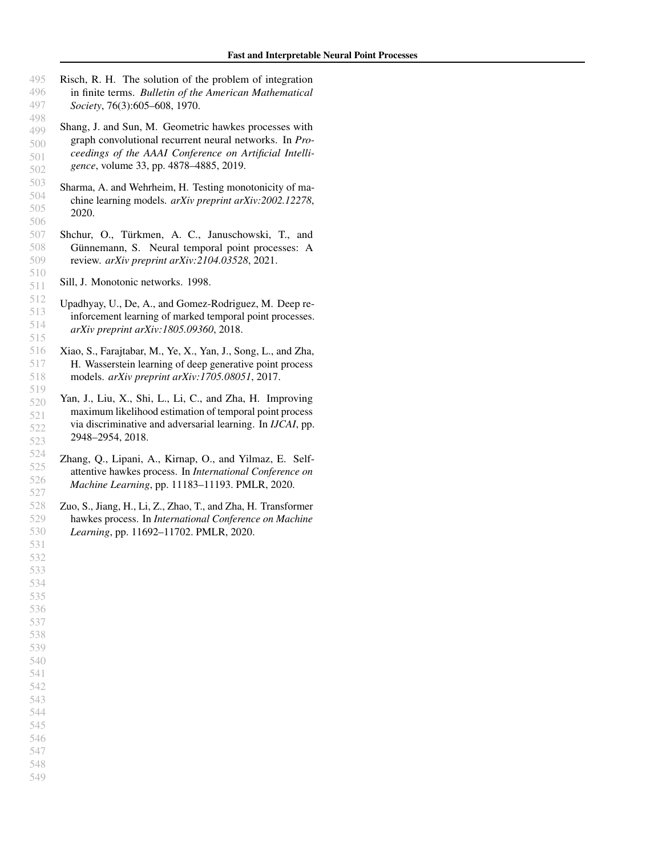- <span id="page-9-9"></span><span id="page-9-8"></span><span id="page-9-7"></span><span id="page-9-6"></span><span id="page-9-5"></span><span id="page-9-4"></span><span id="page-9-3"></span><span id="page-9-2"></span><span id="page-9-1"></span><span id="page-9-0"></span> Risch, R. H. The solution of the problem of integration in finite terms. *Bulletin of the American Mathematical Society*, 76(3):605–608, 1970.
	- Shang, J. and Sun, M. Geometric hawkes processes with graph convolutional recurrent neural networks. In *Proceedings of the AAAI Conference on Artificial Intelligence*, volume 33, pp. 4878–4885, 2019.
	- Sharma, A. and Wehrheim, H. Testing monotonicity of machine learning models. *arXiv preprint arXiv:2002.12278*, 2020.
	- Shchur, O., Türkmen, A. C., Januschowski, T., and Günnemann, S. Neural temporal point processes: A review. *arXiv preprint arXiv:2104.03528*, 2021.
	- Sill, J. Monotonic networks. 1998.
	- Upadhyay, U., De, A., and Gomez-Rodriguez, M. Deep reinforcement learning of marked temporal point processes. *arXiv preprint arXiv:1805.09360*, 2018.
	- Xiao, S., Farajtabar, M., Ye, X., Yan, J., Song, L., and Zha, H. Wasserstein learning of deep generative point process models. *arXiv preprint arXiv:1705.08051*, 2017.
	- Yan, J., Liu, X., Shi, L., Li, C., and Zha, H. Improving maximum likelihood estimation of temporal point process via discriminative and adversarial learning. In *IJCAI*, pp. 2948–2954, 2018.
	- Zhang, Q., Lipani, A., Kirnap, O., and Yilmaz, E. Selfattentive hawkes process. In *International Conference on Machine Learning*, pp. 11183–11193. PMLR, 2020.
	- Zuo, S., Jiang, H., Li, Z., Zhao, T., and Zha, H. Transformer hawkes process. In *International Conference on Machine Learning*, pp. 11692–11702. PMLR, 2020.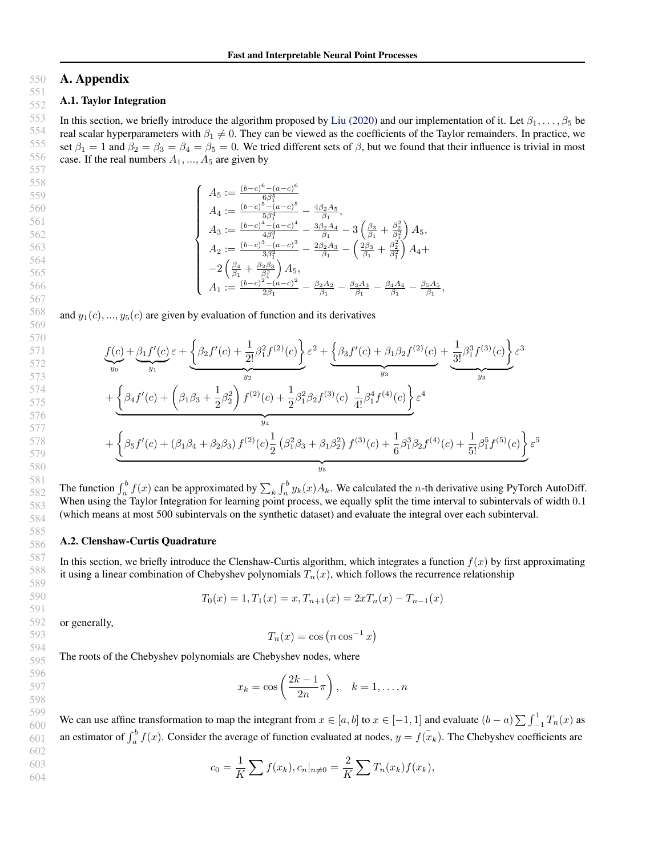#### 550 A. Appendix

#### <span id="page-10-0"></span>551 A.1. Taylor Integration

In this section, we briefly introduce the algorithm proposed by [Liu](#page-8-20) [\(2020\)](#page-8-20) and our implementation of it. Let  $\beta_1, \ldots, \beta_5$  be real scalar hyperparameters with  $\beta_1 \neq 0$ . They can be viewed as the coefficients of the Taylor remainders. In practice, we set  $\beta_1 = 1$  and  $\beta_2 = \beta_3 = \beta_4 = \beta_5 = 0$ . We tried different sets of  $\beta$ , but we found that their influence is trivial in most case. If the real numbers  $A_1, ..., A_5$  are given by

$$
\left\{\n\begin{array}{l}\nA_5 := \frac{(b-c)^6 - (a-c)^6}{6\beta_1^5} \\
A_4 := \frac{(b-c)^5 - (a-c)^5}{5\beta_1^4} - \frac{4\beta_2 A_5}{\beta_1}, \\
A_3 := \frac{(b-c)^4 - (a-c)^4}{4\beta_1^3} - \frac{3\beta_2 A_4}{\beta_1} - 3\left(\frac{\beta_3}{\beta_1} + \frac{\beta_2^2}{\beta_1^2}\right) A_5, \\
A_2 := \frac{(b-c)^3 - (a-c)^3}{3\beta_1^2} - \frac{2\beta_2 A_3}{\beta_1} - \left(\frac{2\beta_3}{\beta_1} + \frac{\beta_2^2}{\beta_1^2}\right) A_4 + \\
-2\left(\frac{\beta_4}{\beta_1} + \frac{\beta_2 \beta_3}{\beta_1^2}\right) A_5, \\
A_1 := \frac{(b-c)^2 - (a-c)^2}{2\beta_1} - \frac{\beta_2 A_2}{\beta_1} - \frac{\beta_3 A_3}{\beta_1} - \frac{\beta_4 A_4}{\beta_1} - \frac{\beta_5 A_5}{\beta_1}\n\end{array}\n\right.
$$

,

and  $y_1(c), ..., y_5(c)$  are given by evaluation of function and its derivatives

$$
\underbrace{f(c)}_{y_0} + \underbrace{\beta_1 f'(c)}_{y_1} \varepsilon + \underbrace{\left\{\beta_2 f'(c) + \frac{1}{2!} \beta_1^2 f^{(2)}(c)\right\}}_{y_2} \varepsilon^2 + \underbrace{\left\{\beta_3 f'(c) + \beta_1 \beta_2 f^{(2)}(c) + \frac{1}{3!} \beta_1^3 f^{(3)}(c)\right\}}_{y_3} \varepsilon^3
$$
\n
$$
+ \underbrace{\left\{\beta_4 f'(c) + \left(\beta_1 \beta_3 + \frac{1}{2} \beta_2^2\right) f^{(2)}(c) + \frac{1}{2} \beta_1^2 \beta_2 f^{(3)}(c) \frac{1}{4!} \beta_1^4 f^{(4)}(c)\right\}}_{y_4} \varepsilon^4
$$
\n
$$
+ \underbrace{\left\{\beta_5 f'(c) + \left(\beta_1 \beta_4 + \beta_2 \beta_3\right) f^{(2)}(c) \frac{1}{2} \left(\beta_1^2 \beta_3 + \beta_1 \beta_2^2\right) f^{(3)}(c) + \frac{1}{6} \beta_1^3 \beta_2 f^{(4)}(c) + \frac{1}{5!} \beta_1^5 f^{(5)}(c)\right\}}_{y_5} \varepsilon^5
$$

580

597 598

602 603 604

The function  $\int_a^b f(x)$  can be approximated by  $\sum_k \int_a^b y_k(x) A_k$ . We calculated the *n*-th derivative using PyTorch AutoDiff. When using the Taylor Integration for learning point process, we equally split the time interval to subintervals of width 0.1 (which means at most 500 subintervals on the synthetic dataset) and evaluate the integral over each subinterval.

### <span id="page-10-1"></span>A.2. Clenshaw-Curtis Quadrature

In this section, we briefly introduce the Clenshaw-Curtis algorithm, which integrates a function  $f(x)$  by first approximating it using a linear combination of Chebyshev polynomials  $T_n(x)$ , which follows the recurrence relationship

$$
T_0(x) = 1, T_1(x) = x, T_{n+1}(x) = 2xT_n(x) - T_{n-1}(x)
$$

or generally,

$$
T_n(x) = \cos\left(n\cos^{-1}x\right)
$$

The roots of the Chebyshev polynomials are Chebyshev nodes, where

$$
x_k = \cos\left(\frac{2k-1}{2n}\pi\right), \quad k = 1, \dots, n
$$

599 600 601 We can use affine transformation to map the integrant from  $x \in [a, b]$  to  $x \in [-1, 1]$  and evaluate  $(b - a) \sum_{n=1}^{\infty} T_n(x)$  as an estimator of  $\int_a^b f(x)$ . Consider the average of function evaluated at nodes,  $y = f(x_k)$ . The Chebyshev coefficients are

$$
c_0 = \frac{1}{K} \sum f(x_k), c_n|_{n \neq 0} = \frac{2}{K} \sum T_n(x_k) f(x_k),
$$